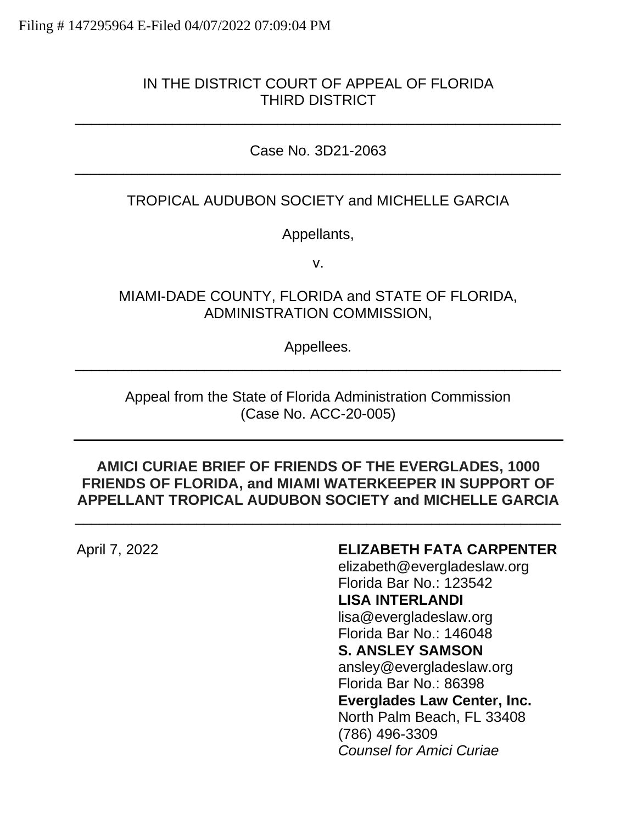### IN THE DISTRICT COURT OF APPEAL OF FLORIDA THIRD DISTRICT

\_\_\_\_\_\_\_\_\_\_\_\_\_\_\_\_\_\_\_\_\_\_\_\_\_\_\_\_\_\_\_\_\_\_\_\_\_\_\_\_\_\_\_\_\_\_\_\_\_\_\_\_\_\_\_\_\_\_\_\_

### Case No. 3D21-2063 \_\_\_\_\_\_\_\_\_\_\_\_\_\_\_\_\_\_\_\_\_\_\_\_\_\_\_\_\_\_\_\_\_\_\_\_\_\_\_\_\_\_\_\_\_\_\_\_\_\_\_\_\_\_\_\_\_\_\_\_

### TROPICAL AUDUBON SOCIETY and MICHELLE GARCIA

Appellants,

v.

MIAMI-DADE COUNTY, FLORIDA and STATE OF FLORIDA, ADMINISTRATION COMMISSION,

Appellees*.* \_\_\_\_\_\_\_\_\_\_\_\_\_\_\_\_\_\_\_\_\_\_\_\_\_\_\_\_\_\_\_\_\_\_\_\_\_\_\_\_\_\_\_\_\_\_\_\_\_\_\_\_\_\_\_\_\_\_\_\_

Appeal from the State of Florida Administration Commission (Case No. ACC-20-005)

#### **AMICI CURIAE BRIEF OF FRIENDS OF THE EVERGLADES, 1000 FRIENDS OF FLORIDA, and MIAMI WATERKEEPER IN SUPPORT OF APPELLANT TROPICAL AUDUBON SOCIETY and MICHELLE GARCIA**

\_\_\_\_\_\_\_\_\_\_\_\_\_\_\_\_\_\_\_\_\_\_\_\_\_\_\_\_\_\_\_\_\_\_\_\_\_\_\_\_\_\_\_\_\_\_\_\_\_\_\_\_\_\_\_\_\_\_\_\_

#### April 7, 2022 **ELIZABETH FATA CARPENTER**

elizabeth@evergladeslaw.org Florida Bar No.: 123542 **LISA INTERLANDI**

lisa@evergladeslaw.org Florida Bar No.: 146048

**S. ANSLEY SAMSON**

ansley@evergladeslaw.org

Florida Bar No.: 86398

**Everglades Law Center, Inc.**

North Palm Beach, FL 33408 (786) 496-3309 *Counsel for Amici Curiae*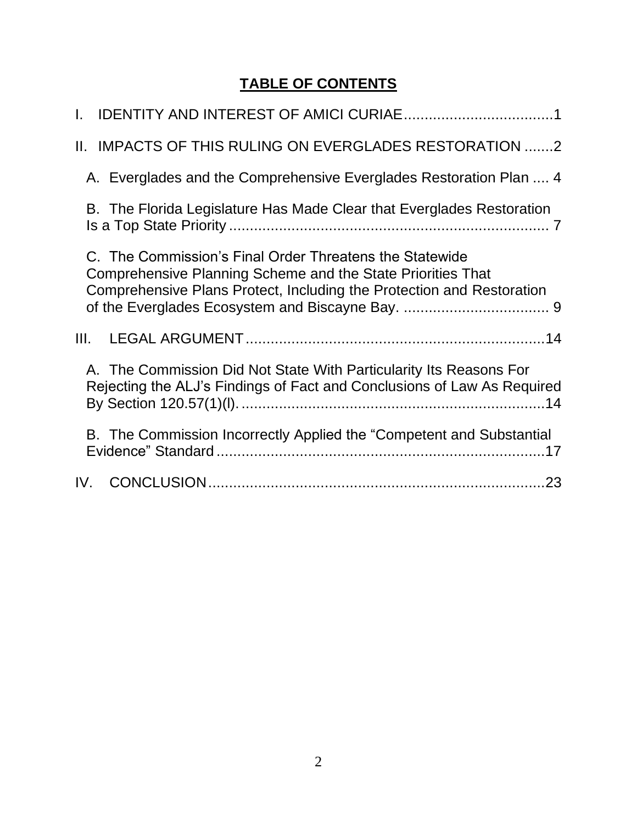# **TABLE OF CONTENTS**

| II. IMPACTS OF THIS RULING ON EVERGLADES RESTORATION 2                                                                                                                                          |  |
|-------------------------------------------------------------------------------------------------------------------------------------------------------------------------------------------------|--|
| A. Everglades and the Comprehensive Everglades Restoration Plan  4                                                                                                                              |  |
| B. The Florida Legislature Has Made Clear that Everglades Restoration                                                                                                                           |  |
| C. The Commission's Final Order Threatens the Statewide<br>Comprehensive Planning Scheme and the State Priorities That<br>Comprehensive Plans Protect, Including the Protection and Restoration |  |
| III.                                                                                                                                                                                            |  |
| A. The Commission Did Not State With Particularity Its Reasons For<br>Rejecting the ALJ's Findings of Fact and Conclusions of Law As Required                                                   |  |
| B. The Commission Incorrectly Applied the "Competent and Substantial                                                                                                                            |  |
|                                                                                                                                                                                                 |  |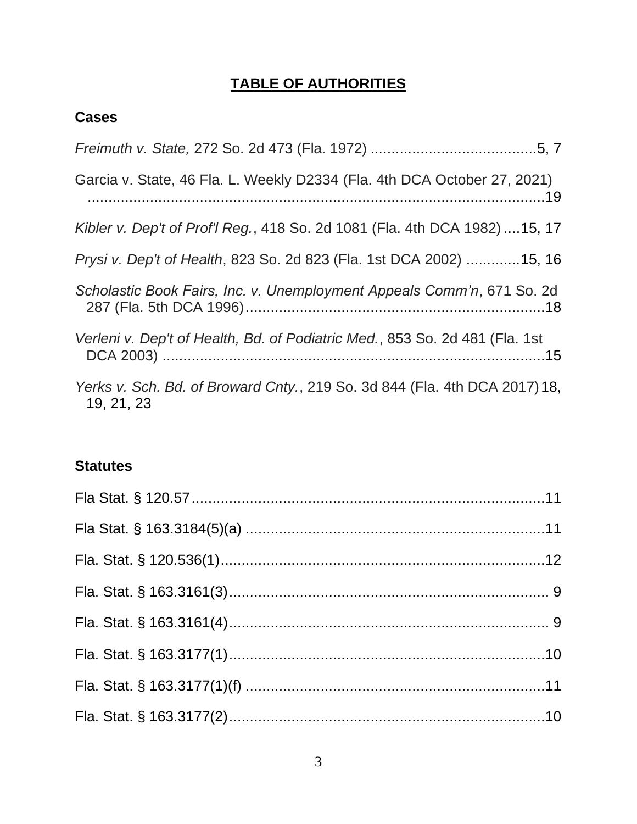# **TABLE OF AUTHORITIES**

# **Cases**

| Garcia v. State, 46 Fla. L. Weekly D2334 (Fla. 4th DCA October 27, 2021)                 |
|------------------------------------------------------------------------------------------|
| Kibler v. Dep't of Prof'l Reg., 418 So. 2d 1081 (Fla. 4th DCA 1982)  15, 17              |
| Prysi v. Dep't of Health, 823 So. 2d 823 (Fla. 1st DCA 2002) 15, 16                      |
| Scholastic Book Fairs, Inc. v. Unemployment Appeals Comm'n, 671 So. 2d                   |
| Verleni v. Dep't of Health, Bd. of Podiatric Med., 853 So. 2d 481 (Fla. 1st              |
| Yerks v. Sch. Bd. of Broward Cnty., 219 So. 3d 844 (Fla. 4th DCA 2017) 18,<br>19, 21, 23 |

## **Statutes**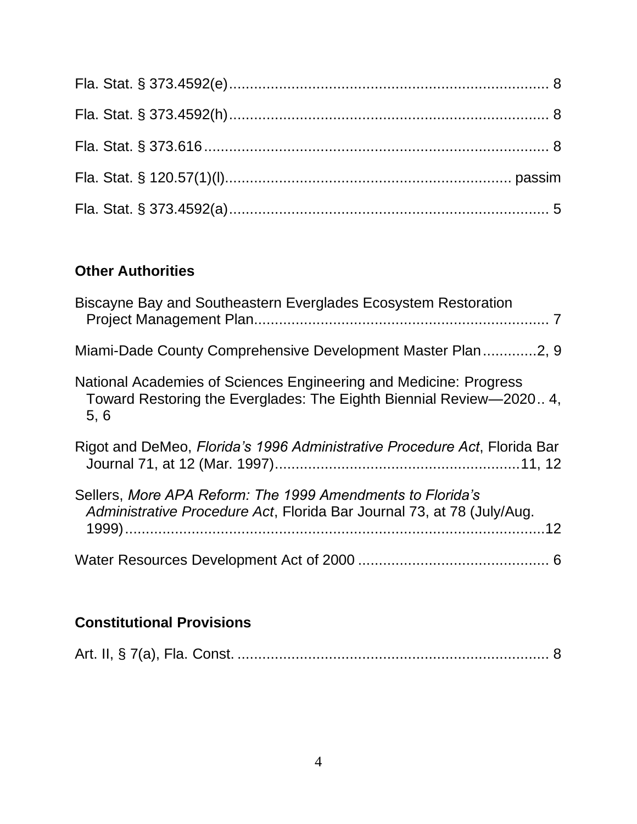# **Other Authorities**

| Biscayne Bay and Southeastern Everglades Ecosystem Restoration                                                                                   |
|--------------------------------------------------------------------------------------------------------------------------------------------------|
| Miami-Dade County Comprehensive Development Master Plan2, 9                                                                                      |
| National Academies of Sciences Engineering and Medicine: Progress<br>Toward Restoring the Everglades: The Eighth Biennial Review-2020 4,<br>5, 6 |
| Rigot and DeMeo, Florida's 1996 Administrative Procedure Act, Florida Bar                                                                        |
| Sellers, More APA Reform: The 1999 Amendments to Florida's<br>Administrative Procedure Act, Florida Bar Journal 73, at 78 (July/Aug.             |
|                                                                                                                                                  |

# **Constitutional Provisions**

|--|--|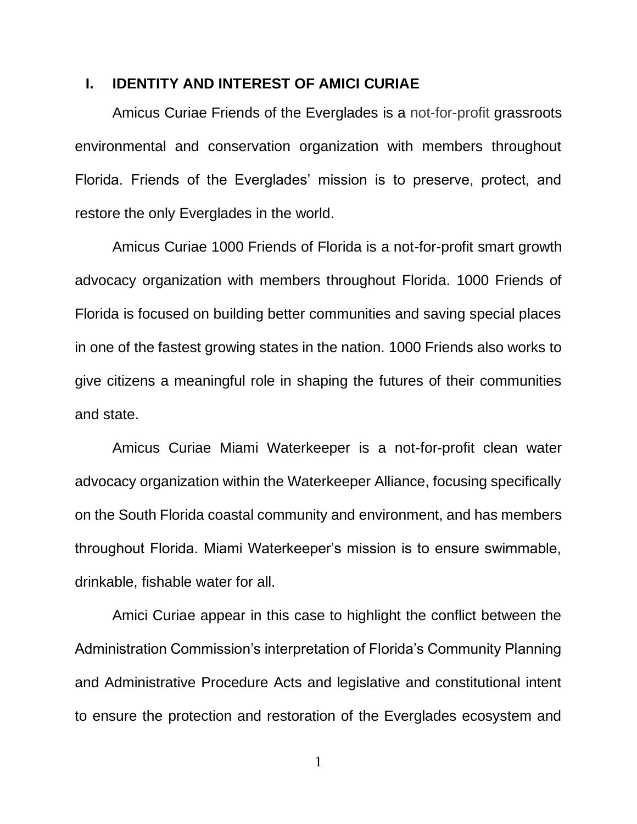#### <span id="page-4-0"></span>**I. IDENTITY AND INTEREST OF AMICI CURIAE**

Amicus Curiae Friends of the Everglades is a not-for-profit grassroots environmental and conservation organization with members throughout Florida. Friends of the Everglades' mission is to preserve, protect, and restore the only Everglades in the world.

Amicus Curiae 1000 Friends of Florida is a not-for-profit smart growth advocacy organization with members throughout Florida. 1000 Friends of Florida is focused on building better communities and saving special places in one of the fastest growing states in the nation. 1000 Friends also works to give citizens a meaningful role in shaping the futures of their communities and state.

Amicus Curiae Miami Waterkeeper is a not-for-profit clean water advocacy organization within the Waterkeeper Alliance, focusing specifically on the South Florida coastal community and environment, and has members throughout Florida. Miami Waterkeeper's mission is to ensure swimmable, drinkable, fishable water for all.

Amici Curiae appear in this case to highlight the conflict between the Administration Commission's interpretation of Florida's Community Planning and Administrative Procedure Acts and legislative and constitutional intent to ensure the protection and restoration of the Everglades ecosystem and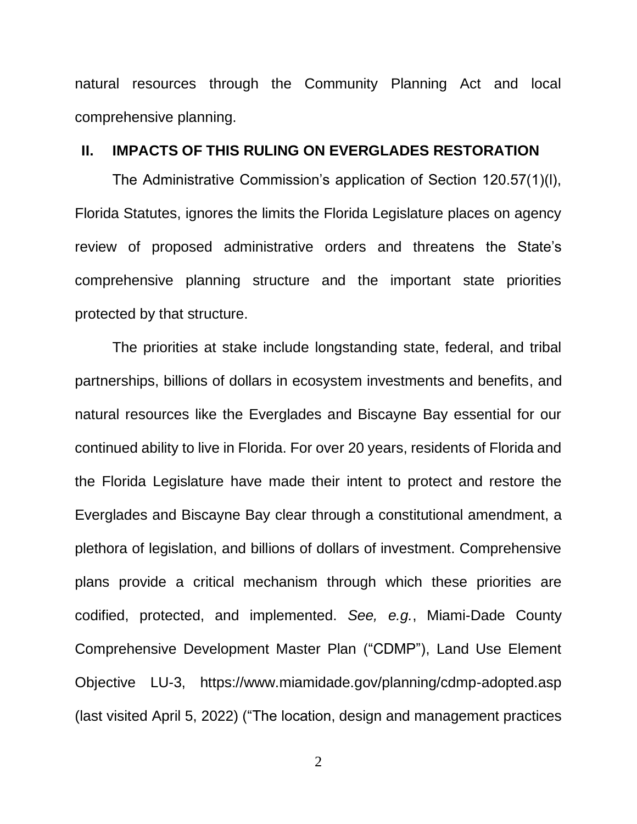natural resources through the Community Planning Act and local comprehensive planning.

#### <span id="page-5-0"></span>**II. IMPACTS OF THIS RULING ON EVERGLADES RESTORATION**

The Administrative Commission's application of Section 120.57(1)(l), Florida Statutes, ignores the limits the Florida Legislature places on agency review of proposed administrative orders and threatens the State's comprehensive planning structure and the important state priorities protected by that structure.

The priorities at stake include longstanding state, federal, and tribal partnerships, billions of dollars in ecosystem investments and benefits, and natural resources like the Everglades and Biscayne Bay essential for our continued ability to live in Florida. For over 20 years, residents of Florida and the Florida Legislature have made their intent to protect and restore the Everglades and Biscayne Bay clear through a constitutional amendment, a plethora of legislation, and billions of dollars of investment. Comprehensive plans provide a critical mechanism through which these priorities are codified, protected, and implemented. *See, e.g.*, Miami-Dade County Comprehensive Development Master Plan ("CDMP"), Land Use Element Objective LU-3, https://www.miamidade.gov/planning/cdmp-adopted.asp (last visited April 5, 2022) ("The location, design and management practices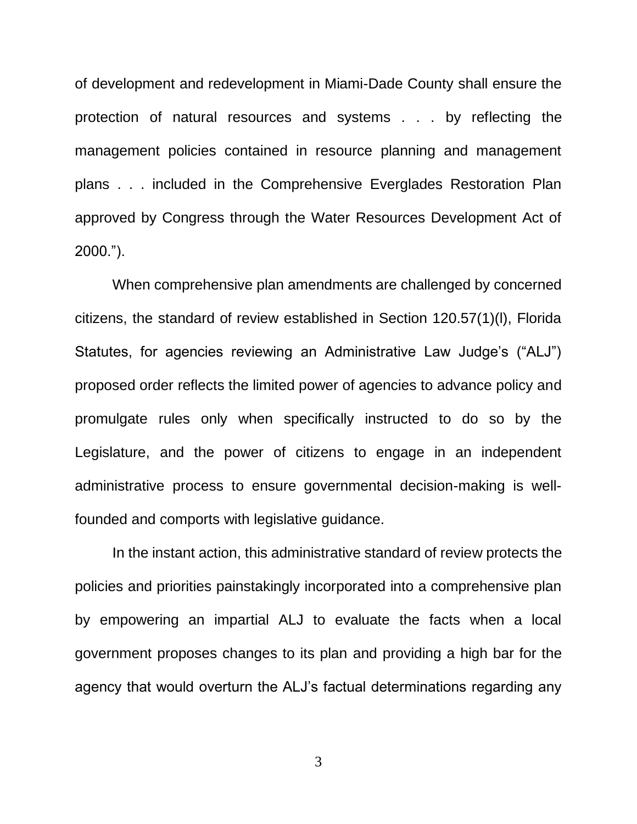of development and redevelopment in Miami-Dade County shall ensure the protection of natural resources and systems . . . by reflecting the management policies contained in resource planning and management plans . . . included in the Comprehensive Everglades Restoration Plan approved by Congress through the Water Resources Development Act of 2000.").

When comprehensive plan amendments are challenged by concerned citizens, the standard of review established in Section 120.57(1)(l), Florida Statutes, for agencies reviewing an Administrative Law Judge's ("ALJ") proposed order reflects the limited power of agencies to advance policy and promulgate rules only when specifically instructed to do so by the Legislature, and the power of citizens to engage in an independent administrative process to ensure governmental decision-making is wellfounded and comports with legislative guidance.

In the instant action, this administrative standard of review protects the policies and priorities painstakingly incorporated into a comprehensive plan by empowering an impartial ALJ to evaluate the facts when a local government proposes changes to its plan and providing a high bar for the agency that would overturn the ALJ's factual determinations regarding any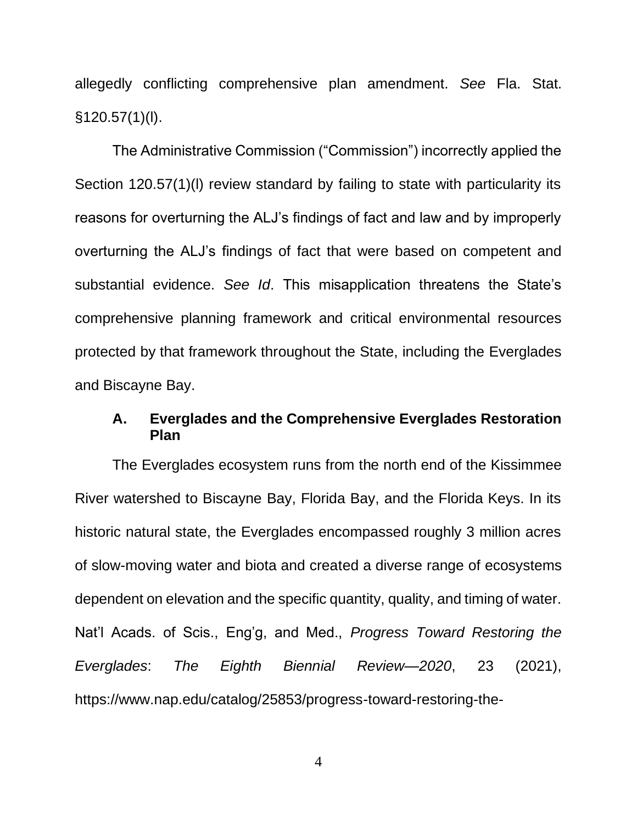allegedly conflicting comprehensive plan amendment. *See* Fla. Stat.  $§120.57(1)(I).$ 

The Administrative Commission ("Commission") incorrectly applied the Section 120.57(1)(I) review standard by failing to state with particularity its reasons for overturning the ALJ's findings of fact and law and by improperly overturning the ALJ's findings of fact that were based on competent and substantial evidence. *See Id*. This misapplication threatens the State's comprehensive planning framework and critical environmental resources protected by that framework throughout the State, including the Everglades and Biscayne Bay.

### <span id="page-7-0"></span>**A. Everglades and the Comprehensive Everglades Restoration Plan**

The Everglades ecosystem runs from the north end of the Kissimmee River watershed to Biscayne Bay, Florida Bay, and the Florida Keys. In its historic natural state, the Everglades encompassed roughly 3 million acres of slow-moving water and biota and created a diverse range of ecosystems dependent on elevation and the specific quantity, quality, and timing of water. Nat'l Acads. of Scis., Eng'g, and Med., *Progress Toward Restoring the Everglades*: *The Eighth Biennial Review—2020*, 23 (2021), https://www.nap.edu/catalog/25853/progress-toward-restoring-the-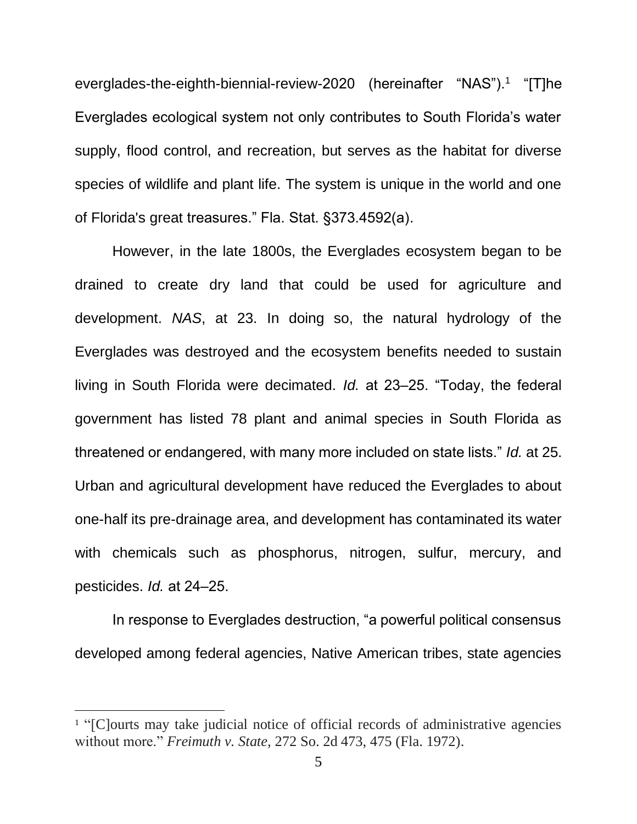everglades-the-eighth-biennial-review-2020 (hereinafter "NAS").<sup>1</sup> "[T]he Everglades ecological system not only contributes to South Florida's water supply, flood control, and recreation, but serves as the habitat for diverse species of wildlife and plant life. The system is unique in the world and one of Florida's great treasures." Fla. Stat. §373.4592(a).

However, in the late 1800s, the Everglades ecosystem began to be drained to create dry land that could be used for agriculture and development. *NAS*, at 23. In doing so, the natural hydrology of the Everglades was destroyed and the ecosystem benefits needed to sustain living in South Florida were decimated. *Id.* at 23–25. "Today, the federal government has listed 78 plant and animal species in South Florida as threatened or endangered, with many more included on state lists." *Id.* at 25. Urban and agricultural development have reduced the Everglades to about one-half its pre-drainage area, and development has contaminated its water with chemicals such as phosphorus, nitrogen, sulfur, mercury, and pesticides. *Id.* at 24‒25.

In response to Everglades destruction, "a powerful political consensus developed among federal agencies, Native American tribes, state agencies

<sup>&</sup>lt;sup>1</sup> "[C]ourts may take judicial notice of official records of administrative agencies without more." *Freimuth v. State,* 272 So. 2d 473, 475 (Fla. 1972).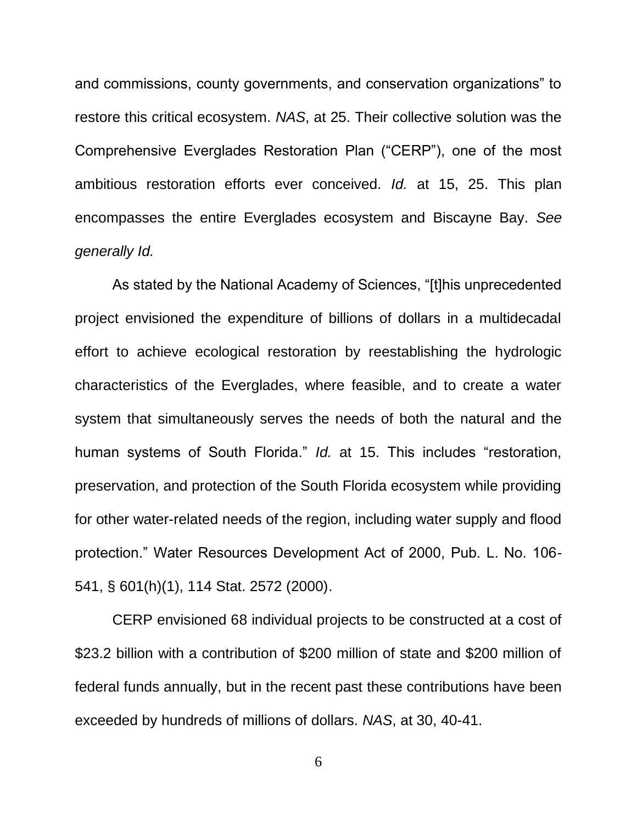and commissions, county governments, and conservation organizations" to restore this critical ecosystem. *NAS*, at 25. Their collective solution was the Comprehensive Everglades Restoration Plan ("CERP"), one of the most ambitious restoration efforts ever conceived. *Id.* at 15, 25. This plan encompasses the entire Everglades ecosystem and Biscayne Bay. *See generally Id.*

As stated by the National Academy of Sciences, "[t]his unprecedented project envisioned the expenditure of billions of dollars in a multidecadal effort to achieve ecological restoration by reestablishing the hydrologic characteristics of the Everglades, where feasible, and to create a water system that simultaneously serves the needs of both the natural and the human systems of South Florida." *Id.* at 15. This includes "restoration, preservation, and protection of the South Florida ecosystem while providing for other water-related needs of the region, including water supply and flood protection." Water Resources Development Act of 2000, Pub. L. No. 106- 541, § 601(h)(1), 114 Stat. 2572 (2000).

CERP envisioned 68 individual projects to be constructed at a cost of \$23.2 billion with a contribution of \$200 million of state and \$200 million of federal funds annually, but in the recent past these contributions have been exceeded by hundreds of millions of dollars. *NAS*, at 30, 40-41.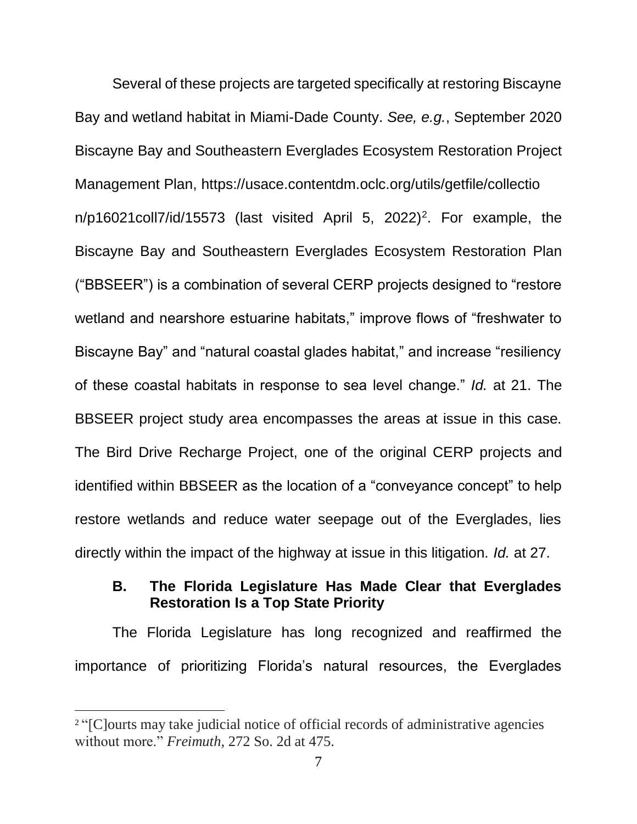Several of these projects are targeted specifically at restoring Biscayne Bay and wetland habitat in Miami-Dade County. *See, e.g.*, September 2020 Biscayne Bay and Southeastern Everglades Ecosystem Restoration Project Management Plan, https://usace.contentdm.oclc.org/utils/getfile/collectio  $n/p16021$ coll7/id/15573 (last visited April 5, 2022)<sup>2</sup>. For example, the Biscayne Bay and Southeastern Everglades Ecosystem Restoration Plan ("BBSEER") is a combination of several CERP projects designed to "restore wetland and nearshore estuarine habitats," improve flows of "freshwater to Biscayne Bay" and "natural coastal glades habitat," and increase "resiliency of these coastal habitats in response to sea level change." *Id.* at 21. The BBSEER project study area encompasses the areas at issue in this case. The Bird Drive Recharge Project, one of the original CERP projects and identified within BBSEER as the location of a "conveyance concept" to help restore wetlands and reduce water seepage out of the Everglades, lies directly within the impact of the highway at issue in this litigation. *Id.* at 27.

### <span id="page-10-0"></span>**B. The Florida Legislature Has Made Clear that Everglades Restoration Is a Top State Priority**

The Florida Legislature has long recognized and reaffirmed the importance of prioritizing Florida's natural resources, the Everglades

<sup>2</sup> "[C]ourts may take judicial notice of official records of administrative agencies without more." *Freimuth,* 272 So. 2d at 475.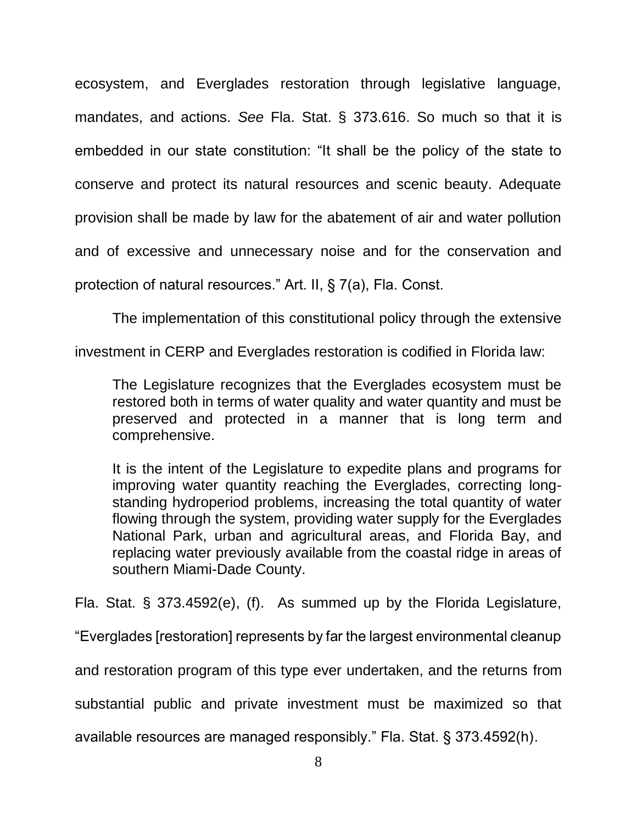ecosystem, and Everglades restoration through legislative language, mandates, and actions. *See* Fla. Stat. § 373.616. So much so that it is embedded in our state constitution: "It shall be the policy of the state to conserve and protect its natural resources and scenic beauty. Adequate provision shall be made by law for the abatement of air and water pollution and of excessive and unnecessary noise and for the conservation and protection of natural resources." Art. II, § 7(a), Fla. Const.

The implementation of this constitutional policy through the extensive

investment in CERP and Everglades restoration is codified in Florida law:

The Legislature recognizes that the Everglades ecosystem must be restored both in terms of water quality and water quantity and must be preserved and protected in a manner that is long term and comprehensive.

It is the intent of the Legislature to expedite plans and programs for improving water quantity reaching the Everglades, correcting longstanding hydroperiod problems, increasing the total quantity of water flowing through the system, providing water supply for the Everglades National Park, urban and agricultural areas, and Florida Bay, and replacing water previously available from the coastal ridge in areas of southern Miami-Dade County.

Fla. Stat. § 373.4592(e), (f). As summed up by the Florida Legislature,

"Everglades [restoration] represents by far the largest environmental cleanup

and restoration program of this type ever undertaken, and the returns from

substantial public and private investment must be maximized so that

available resources are managed responsibly." Fla. Stat. § 373.4592(h).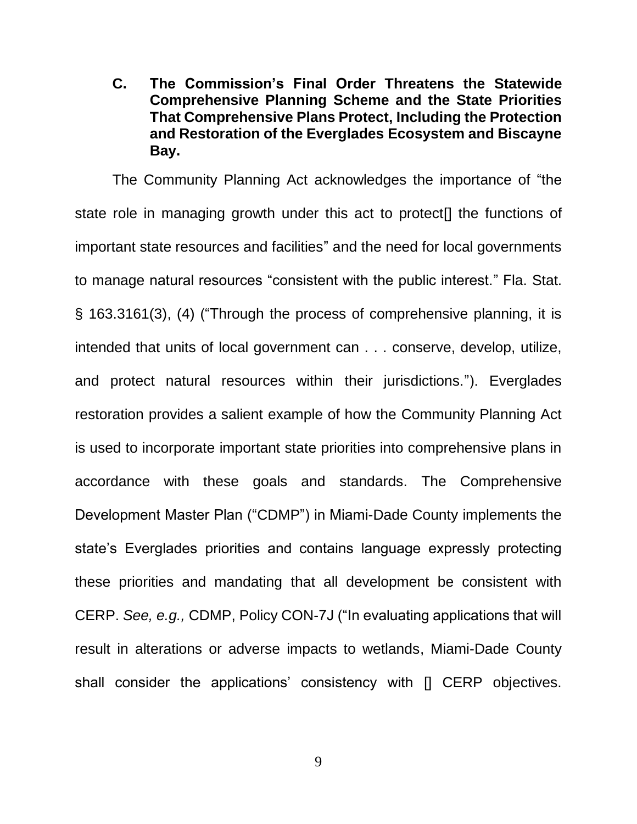<span id="page-12-0"></span>**C. The Commission's Final Order Threatens the Statewide Comprehensive Planning Scheme and the State Priorities That Comprehensive Plans Protect, Including the Protection and Restoration of the Everglades Ecosystem and Biscayne Bay.**

The Community Planning Act acknowledges the importance of "the state role in managing growth under this act to protect[] the functions of important state resources and facilities" and the need for local governments to manage natural resources "consistent with the public interest." Fla. Stat. § 163.3161(3), (4) ("Through the process of comprehensive planning, it is intended that units of local government can . . . conserve, develop, utilize, and protect natural resources within their jurisdictions."). Everglades restoration provides a salient example of how the Community Planning Act is used to incorporate important state priorities into comprehensive plans in accordance with these goals and standards. The Comprehensive Development Master Plan ("CDMP") in Miami-Dade County implements the state's Everglades priorities and contains language expressly protecting these priorities and mandating that all development be consistent with CERP. *See, e.g.,* CDMP, Policy CON-7J ("In evaluating applications that will result in alterations or adverse impacts to wetlands, Miami-Dade County shall consider the applications' consistency with [] CERP objectives.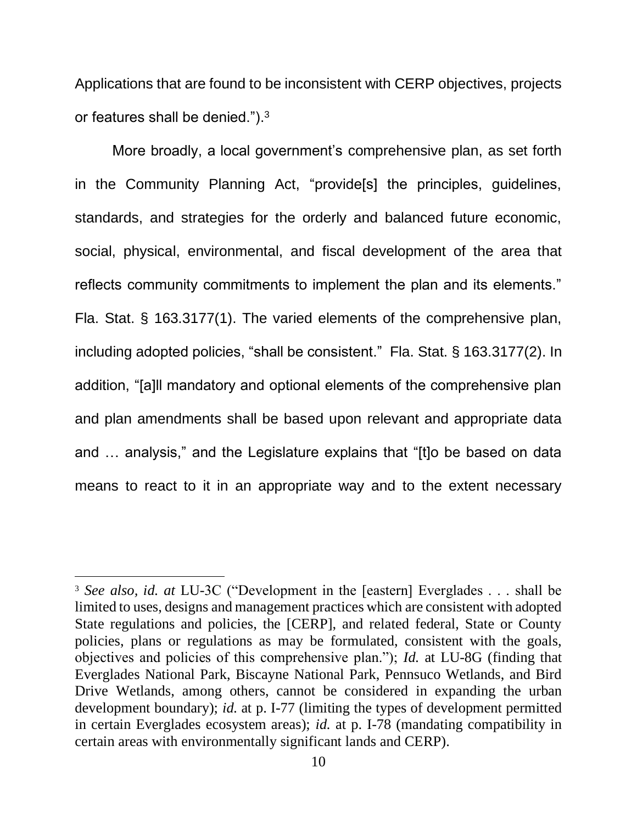Applications that are found to be inconsistent with CERP objectives, projects or features shall be denied."). $^3$ 

More broadly, a local government's comprehensive plan, as set forth in the Community Planning Act, "provide[s] the principles, guidelines, standards, and strategies for the orderly and balanced future economic, social, physical, environmental, and fiscal development of the area that reflects community commitments to implement the plan and its elements." Fla. Stat. § 163.3177(1). The varied elements of the comprehensive plan, including adopted policies, "shall be consistent." Fla. Stat. § 163.3177(2). In addition, "[a]ll mandatory and optional elements of the comprehensive plan and plan amendments shall be based upon relevant and appropriate data and … analysis," and the Legislature explains that "[t]o be based on data means to react to it in an appropriate way and to the extent necessary

<sup>3</sup> *See also, id. at* LU-3C ("Development in the [eastern] Everglades . . . shall be limited to uses, designs and management practices which are consistent with adopted State regulations and policies, the [CERP], and related federal, State or County policies, plans or regulations as may be formulated, consistent with the goals, objectives and policies of this comprehensive plan."); *Id.* at LU-8G (finding that Everglades National Park, Biscayne National Park, Pennsuco Wetlands, and Bird Drive Wetlands, among others, cannot be considered in expanding the urban development boundary); *id.* at p. I-77 (limiting the types of development permitted in certain Everglades ecosystem areas); *id.* at p. I-78 (mandating compatibility in certain areas with environmentally significant lands and CERP).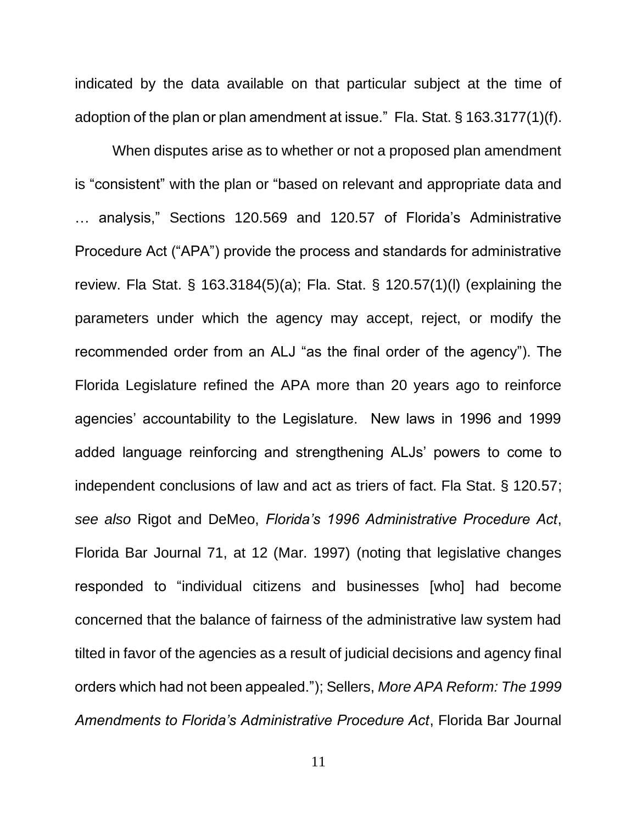indicated by the data available on that particular subject at the time of adoption of the plan or plan amendment at issue." Fla. Stat. § 163.3177(1)(f).

When disputes arise as to whether or not a proposed plan amendment is "consistent" with the plan or "based on relevant and appropriate data and … analysis," Sections 120.569 and 120.57 of Florida's Administrative Procedure Act ("APA") provide the process and standards for administrative review. Fla Stat. § 163.3184(5)(a); Fla. Stat. § 120.57(1)(l) (explaining the parameters under which the agency may accept, reject, or modify the recommended order from an ALJ "as the final order of the agency"). The Florida Legislature refined the APA more than 20 years ago to reinforce agencies' accountability to the Legislature. New laws in 1996 and 1999 added language reinforcing and strengthening ALJs' powers to come to independent conclusions of law and act as triers of fact. Fla Stat. § 120.57; *see also* Rigot and DeMeo, *Florida's 1996 Administrative Procedure Act*, Florida Bar Journal 71, at 12 (Mar. 1997) (noting that legislative changes responded to "individual citizens and businesses [who] had become concerned that the balance of fairness of the administrative law system had tilted in favor of the agencies as a result of judicial decisions and agency final orders which had not been appealed."); Sellers, *More APA Reform: The 1999 Amendments to Florida's Administrative Procedure Act*, Florida Bar Journal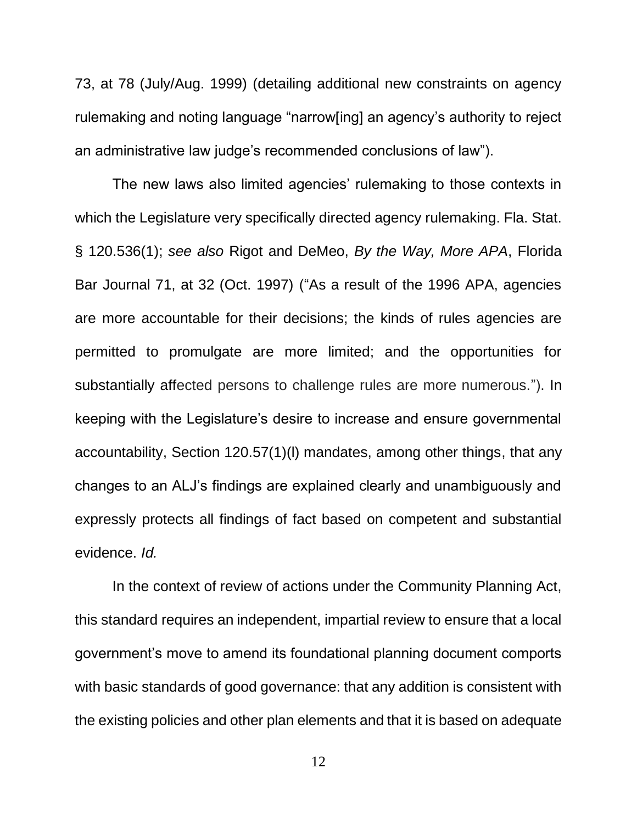73, at 78 (July/Aug. 1999) (detailing additional new constraints on agency rulemaking and noting language "narrow[ing] an agency's authority to reject an administrative law judge's recommended conclusions of law").

The new laws also limited agencies' rulemaking to those contexts in which the Legislature very specifically directed agency rulemaking. Fla. Stat. § 120.536(1); *see also* Rigot and DeMeo, *By the Way, More APA*, Florida Bar Journal 71, at 32 (Oct. 1997) ("As a result of the 1996 APA, agencies are more accountable for their decisions; the kinds of rules agencies are permitted to promulgate are more limited; and the opportunities for substantially affected persons to challenge rules are more numerous."). In keeping with the Legislature's desire to increase and ensure governmental accountability, Section 120.57(1)(l) mandates, among other things, that any changes to an ALJ's findings are explained clearly and unambiguously and expressly protects all findings of fact based on competent and substantial evidence. *Id.*

In the context of review of actions under the Community Planning Act, this standard requires an independent, impartial review to ensure that a local government's move to amend its foundational planning document comports with basic standards of good governance: that any addition is consistent with the existing policies and other plan elements and that it is based on adequate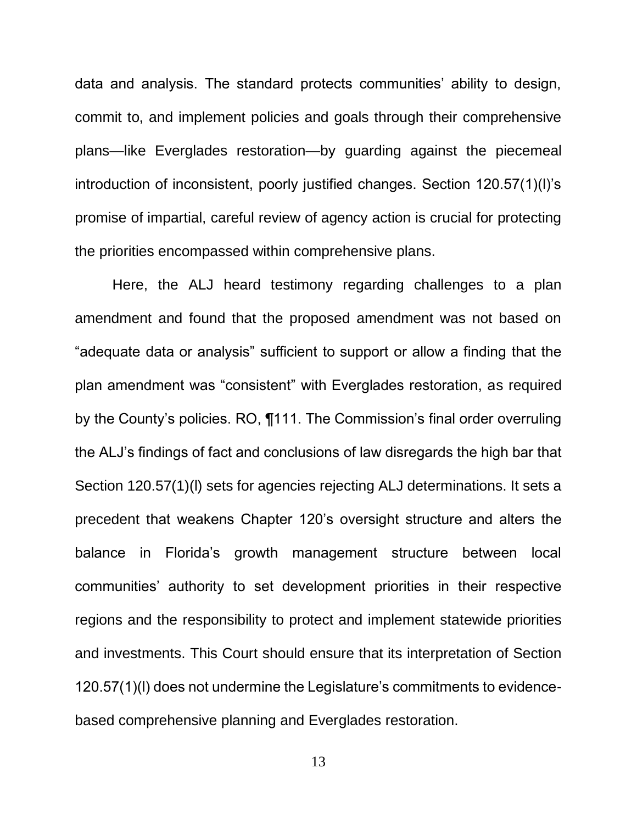data and analysis. The standard protects communities' ability to design, commit to, and implement policies and goals through their comprehensive plans—like Everglades restoration—by guarding against the piecemeal introduction of inconsistent, poorly justified changes. Section 120.57(1)(l)'s promise of impartial, careful review of agency action is crucial for protecting the priorities encompassed within comprehensive plans.

Here, the ALJ heard testimony regarding challenges to a plan amendment and found that the proposed amendment was not based on "adequate data or analysis" sufficient to support or allow a finding that the plan amendment was "consistent" with Everglades restoration, as required by the County's policies. RO, ¶111. The Commission's final order overruling the ALJ's findings of fact and conclusions of law disregards the high bar that Section 120.57(1)(l) sets for agencies rejecting ALJ determinations. It sets a precedent that weakens Chapter 120's oversight structure and alters the balance in Florida's growth management structure between local communities' authority to set development priorities in their respective regions and the responsibility to protect and implement statewide priorities and investments. This Court should ensure that its interpretation of Section 120.57(1)(l) does not undermine the Legislature's commitments to evidencebased comprehensive planning and Everglades restoration.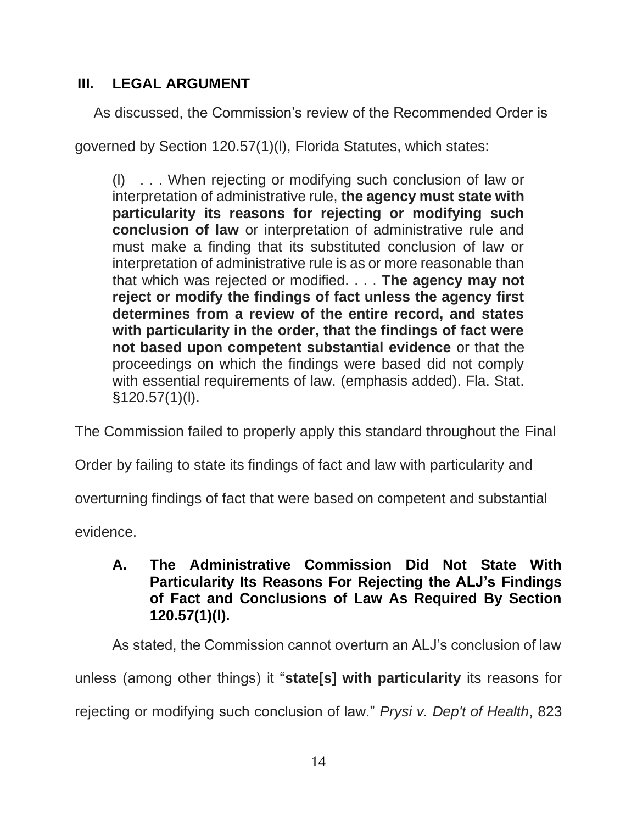## <span id="page-17-0"></span>**III. LEGAL ARGUMENT**

As discussed, the Commission's review of the Recommended Order is

governed by Section 120.57(1)(l), Florida Statutes, which states:

(l) . . . When rejecting or modifying such conclusion of law or interpretation of administrative rule, **the agency must state with particularity its reasons for rejecting or modifying such conclusion of law** or interpretation of administrative rule and must make a finding that its substituted conclusion of law or interpretation of administrative rule is as or more reasonable than that which was rejected or modified. . . . **The agency may not reject or modify the findings of fact unless the agency first determines from a review of the entire record, and states with particularity in the order, that the findings of fact were not based upon competent substantial evidence** or that the proceedings on which the findings were based did not comply with essential requirements of law. (emphasis added). Fla. Stat. §120.57(1)(l).

The Commission failed to properly apply this standard throughout the Final

Order by failing to state its findings of fact and law with particularity and

overturning findings of fact that were based on competent and substantial

<span id="page-17-1"></span>evidence.

**A. The Administrative Commission Did Not State With Particularity Its Reasons For Rejecting the ALJ's Findings of Fact and Conclusions of Law As Required By Section 120.57(1)(l).**

As stated, the Commission cannot overturn an ALJ's conclusion of law unless (among other things) it "**state[s] with particularity** its reasons for rejecting or modifying such conclusion of law." *Prysi v. Dep't of Health*, 823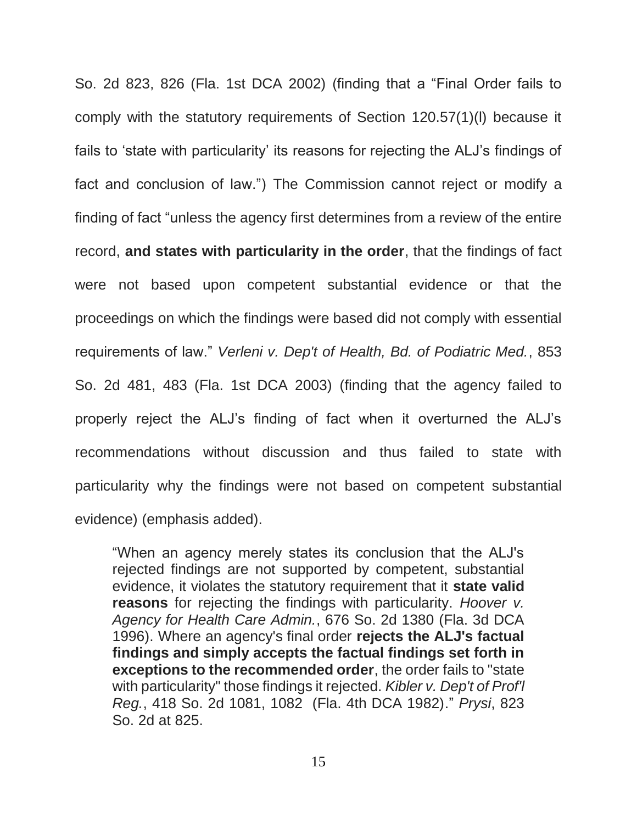So. 2d 823, 826 (Fla. 1st DCA 2002) (finding that a "Final Order fails to comply with the statutory requirements of Section 120.57(1)(l) because it fails to 'state with particularity' its reasons for rejecting the ALJ's findings of fact and conclusion of law.") The Commission cannot reject or modify a finding of fact "unless the agency first determines from a review of the entire record, **and states with particularity in the order**, that the findings of fact were not based upon competent substantial evidence or that the proceedings on which the findings were based did not comply with essential requirements of law." *Verleni v. Dep't of Health, Bd. of Podiatric Med.*, 853 So. 2d 481, 483 (Fla. 1st DCA 2003) (finding that the agency failed to properly reject the ALJ's finding of fact when it overturned the ALJ's recommendations without discussion and thus failed to state with particularity why the findings were not based on competent substantial evidence) (emphasis added).

"When an agency merely states its conclusion that the ALJ's rejected findings are not supported by competent, substantial evidence, it violates the statutory requirement that it **state valid reasons** for rejecting the findings with particularity. *Hoover v. Agency for Health Care Admin.*, 676 So. 2d 1380 (Fla. 3d DCA 1996). Where an agency's final order **rejects the ALJ's factual findings and simply accepts the factual findings set forth in exceptions to the recommended order**, the order fails to "state with particularity" those findings it rejected. *Kibler v. Dep't of Prof'l Reg.*, 418 So. 2d 1081, 1082 (Fla. 4th DCA 1982)." *Prysi*, 823 So. 2d at 825.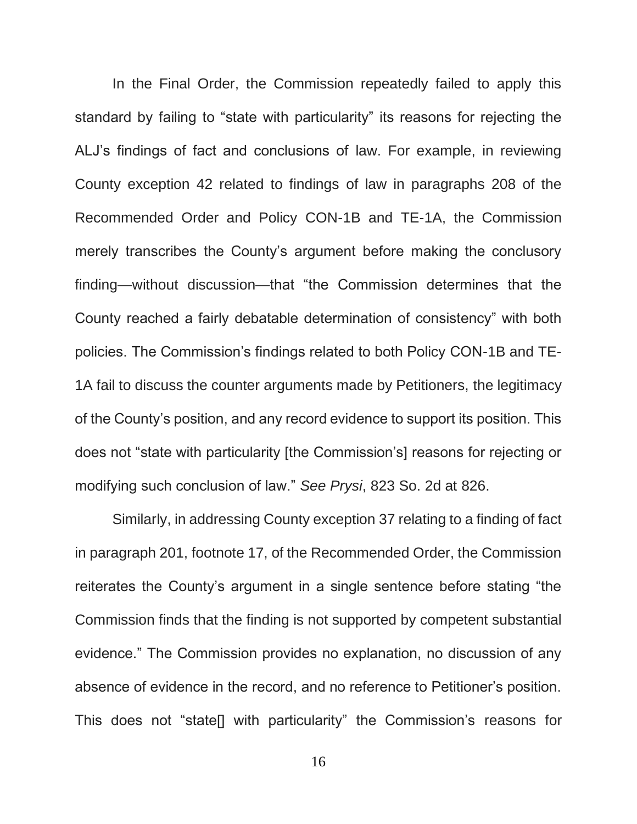In the Final Order, the Commission repeatedly failed to apply this standard by failing to "state with particularity" its reasons for rejecting the ALJ's findings of fact and conclusions of law. For example, in reviewing County exception 42 related to findings of law in paragraphs 208 of the Recommended Order and Policy CON-1B and TE-1A, the Commission merely transcribes the County's argument before making the conclusory finding—without discussion—that "the Commission determines that the County reached a fairly debatable determination of consistency" with both policies. The Commission's findings related to both Policy CON-1B and TE-1A fail to discuss the counter arguments made by Petitioners, the legitimacy of the County's position, and any record evidence to support its position. This does not "state with particularity [the Commission's] reasons for rejecting or modifying such conclusion of law." *See Prysi*, 823 So. 2d at 826.

Similarly, in addressing County exception 37 relating to a finding of fact in paragraph 201, footnote 17, of the Recommended Order, the Commission reiterates the County's argument in a single sentence before stating "the Commission finds that the finding is not supported by competent substantial evidence." The Commission provides no explanation, no discussion of any absence of evidence in the record, and no reference to Petitioner's position. This does not "state[] with particularity" the Commission's reasons for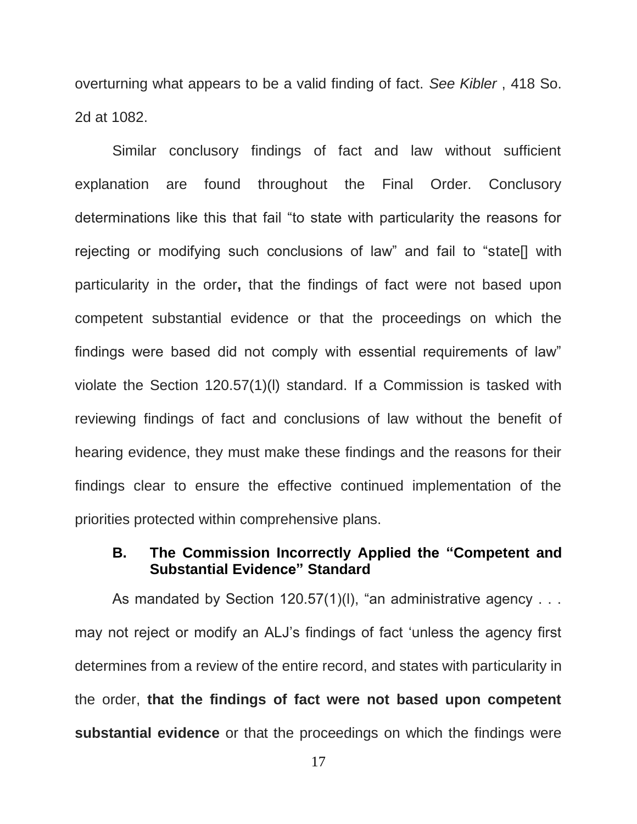overturning what appears to be a valid finding of fact. *See Kibler* , 418 So. 2d at 1082.

Similar conclusory findings of fact and law without sufficient explanation are found throughout the Final Order. Conclusory determinations like this that fail "to state with particularity the reasons for rejecting or modifying such conclusions of law" and fail to "state[] with particularity in the order**,** that the findings of fact were not based upon competent substantial evidence or that the proceedings on which the findings were based did not comply with essential requirements of law" violate the Section 120.57(1)(l) standard. If a Commission is tasked with reviewing findings of fact and conclusions of law without the benefit of hearing evidence, they must make these findings and the reasons for their findings clear to ensure the effective continued implementation of the priorities protected within comprehensive plans.

#### <span id="page-20-0"></span>**B. The Commission Incorrectly Applied the "Competent and Substantial Evidence" Standard**

As mandated by Section 120.57(1)(I), "an administrative agency . . . may not reject or modify an ALJ's findings of fact 'unless the agency first determines from a review of the entire record, and states with particularity in the order, **that the findings of fact were not based upon competent substantial evidence** or that the proceedings on which the findings were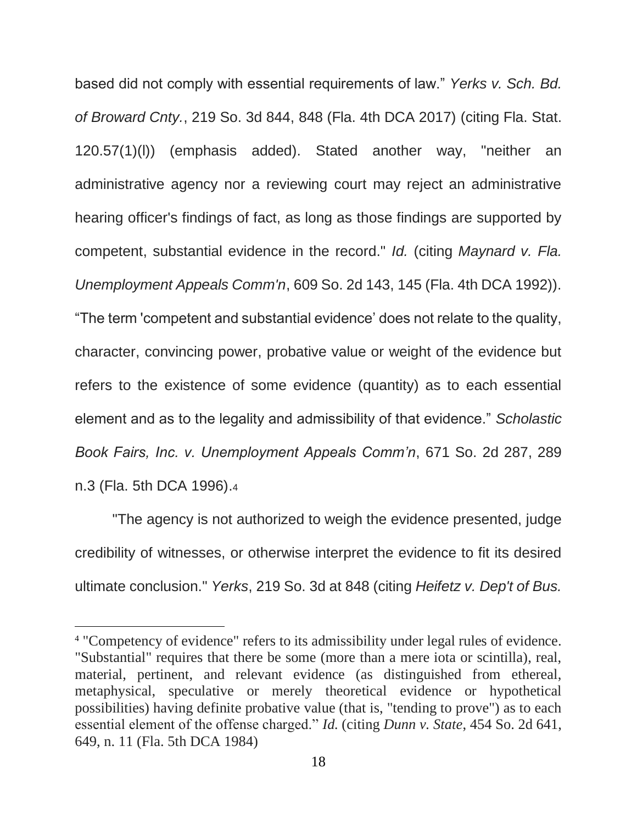based did not comply with essential requirements of law." *Yerks v. Sch. Bd. of Broward Cnty.*, 219 So. 3d 844, 848 (Fla. 4th DCA 2017) (citing Fla. Stat. 120.57(1)(l)) (emphasis added). Stated another way, "neither an administrative agency nor a reviewing court may reject an administrative hearing officer's findings of fact, as long as those findings are supported by competent, substantial evidence in the record." *Id.* (citing *Maynard v. Fla. Unemployment Appeals Comm'n*, 609 So. 2d 143, 145 (Fla. 4th DCA 1992)). "The term 'competent and substantial evidence' does not relate to the quality, character, convincing power, probative value or weight of the evidence but refers to the existence of some evidence (quantity) as to each essential element and as to the legality and admissibility of that evidence." *Scholastic Book Fairs, Inc. v. Unemployment Appeals Comm'n*, 671 So. 2d 287, 289 n.3 (Fla. 5th DCA 1996).<sup>4</sup>

"The agency is not authorized to weigh the evidence presented, judge credibility of witnesses, or otherwise interpret the evidence to fit its desired ultimate conclusion." *Yerks*, 219 So. 3d at 848 (citing *Heifetz v. Dep't of Bus.* 

<sup>4</sup> "Competency of evidence" refers to its admissibility under legal rules of evidence. "Substantial" requires that there be some (more than a mere iota or scintilla), real, material, pertinent, and relevant evidence (as distinguished from ethereal, metaphysical, speculative or merely theoretical evidence or hypothetical possibilities) having definite probative value (that is, "tending to prove") as to each essential element of the offense charged." *Id.* (citing *Dunn v. State*, 454 So. 2d 641, 649, n. 11 (Fla. 5th DCA 1984)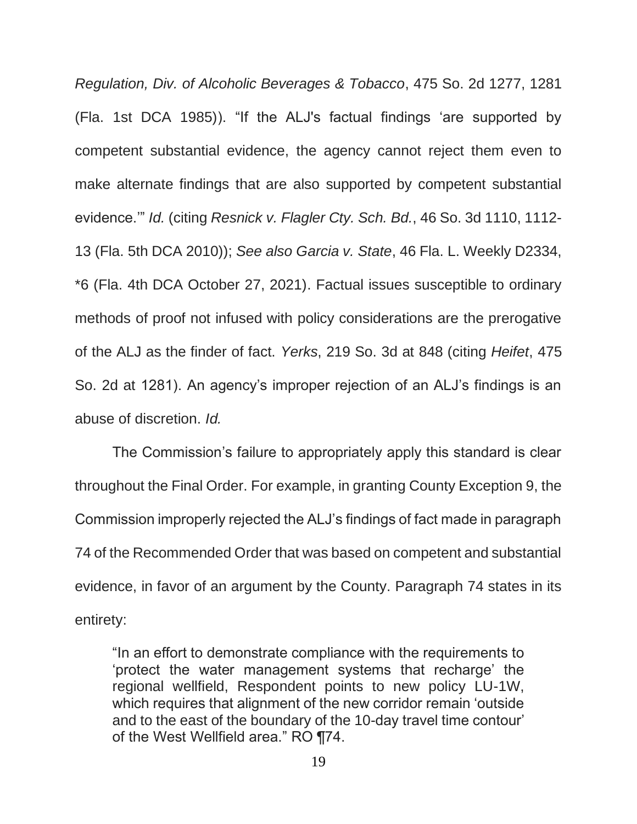*Regulation, Div. of Alcoholic Beverages & Tobacco*, 475 So. 2d 1277, 1281 (Fla. 1st DCA 1985)). "If the ALJ's factual findings 'are supported by competent substantial evidence, the agency cannot reject them even to make alternate findings that are also supported by competent substantial evidence.'" *Id.* (citing *Resnick v. Flagler Cty. Sch. Bd.*, 46 So. 3d 1110, 1112- 13 (Fla. 5th DCA 2010)); *See also Garcia v. State*, 46 Fla. L. Weekly D2334, \*6 (Fla. 4th DCA October 27, 2021). Factual issues susceptible to ordinary methods of proof not infused with policy considerations are the prerogative of the ALJ as the finder of fact. *Yerks*, 219 So. 3d at 848 (citing *Heifet*, 475 So. 2d at 1281). An agency's improper rejection of an ALJ's findings is an abuse of discretion. *Id.*

The Commission's failure to appropriately apply this standard is clear throughout the Final Order. For example, in granting County Exception 9, the Commission improperly rejected the ALJ's findings of fact made in paragraph 74 of the Recommended Order that was based on competent and substantial evidence, in favor of an argument by the County. Paragraph 74 states in its entirety:

"In an effort to demonstrate compliance with the requirements to 'protect the water management systems that recharge' the regional wellfield, Respondent points to new policy LU-1W, which requires that alignment of the new corridor remain 'outside and to the east of the boundary of the 10-day travel time contour' of the West Wellfield area." RO ¶74.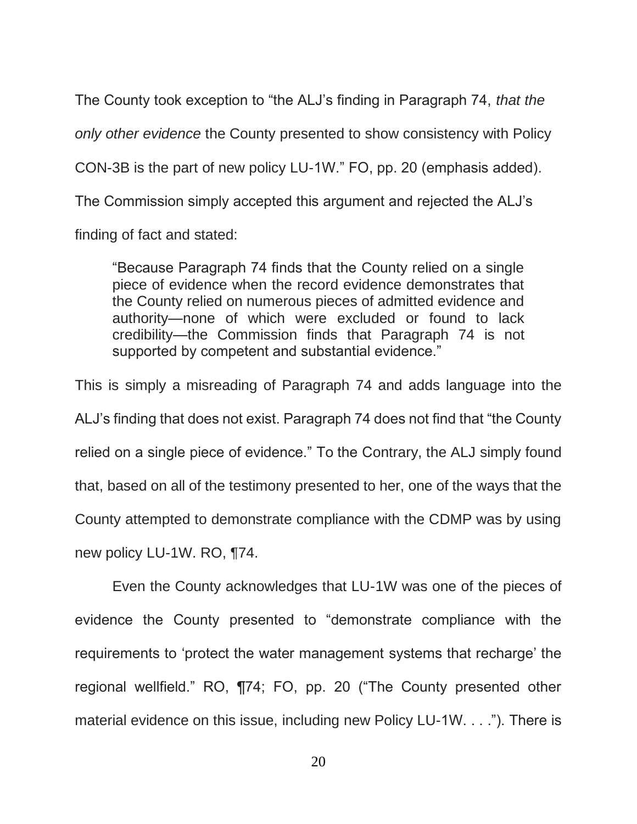The County took exception to "the ALJ's finding in Paragraph 74, *that the only other evidence* the County presented to show consistency with Policy CON-3B is the part of new policy LU-1W." FO, pp. 20 (emphasis added). The Commission simply accepted this argument and rejected the ALJ's finding of fact and stated:

"Because Paragraph 74 finds that the County relied on a single piece of evidence when the record evidence demonstrates that the County relied on numerous pieces of admitted evidence and authority—none of which were excluded or found to lack credibility—the Commission finds that Paragraph 74 is not supported by competent and substantial evidence."

This is simply a misreading of Paragraph 74 and adds language into the ALJ's finding that does not exist. Paragraph 74 does not find that "the County relied on a single piece of evidence." To the Contrary, the ALJ simply found that, based on all of the testimony presented to her, one of the ways that the County attempted to demonstrate compliance with the CDMP was by using new policy LU-1W. RO, ¶74.

Even the County acknowledges that LU-1W was one of the pieces of evidence the County presented to "demonstrate compliance with the requirements to 'protect the water management systems that recharge' the regional wellfield." RO, ¶74; FO, pp. 20 ("The County presented other material evidence on this issue, including new Policy LU-1W. . . ."). There is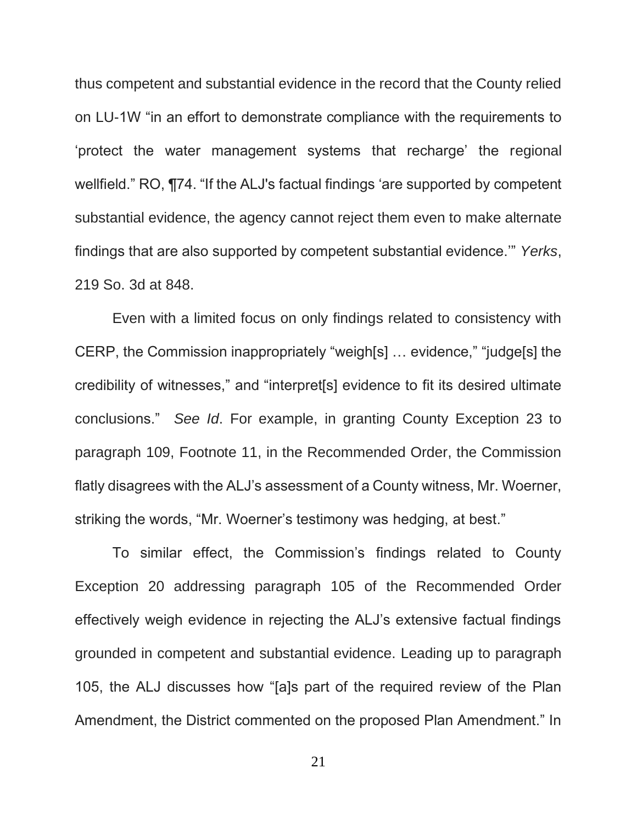thus competent and substantial evidence in the record that the County relied on LU-1W "in an effort to demonstrate compliance with the requirements to 'protect the water management systems that recharge' the regional wellfield." RO, ¶74. "If the ALJ's factual findings 'are supported by competent substantial evidence, the agency cannot reject them even to make alternate findings that are also supported by competent substantial evidence.'" *Yerks*, 219 So. 3d at 848.

Even with a limited focus on only findings related to consistency with CERP, the Commission inappropriately "weigh[s] … evidence," "judge[s] the credibility of witnesses," and "interpret[s] evidence to fit its desired ultimate conclusions." *See Id*. For example, in granting County Exception 23 to paragraph 109, Footnote 11, in the Recommended Order, the Commission flatly disagrees with the ALJ's assessment of a County witness, Mr. Woerner, striking the words, "Mr. Woerner's testimony was hedging, at best."

To similar effect, the Commission's findings related to County Exception 20 addressing paragraph 105 of the Recommended Order effectively weigh evidence in rejecting the ALJ's extensive factual findings grounded in competent and substantial evidence. Leading up to paragraph 105, the ALJ discusses how "[a]s part of the required review of the Plan Amendment, the District commented on the proposed Plan Amendment." In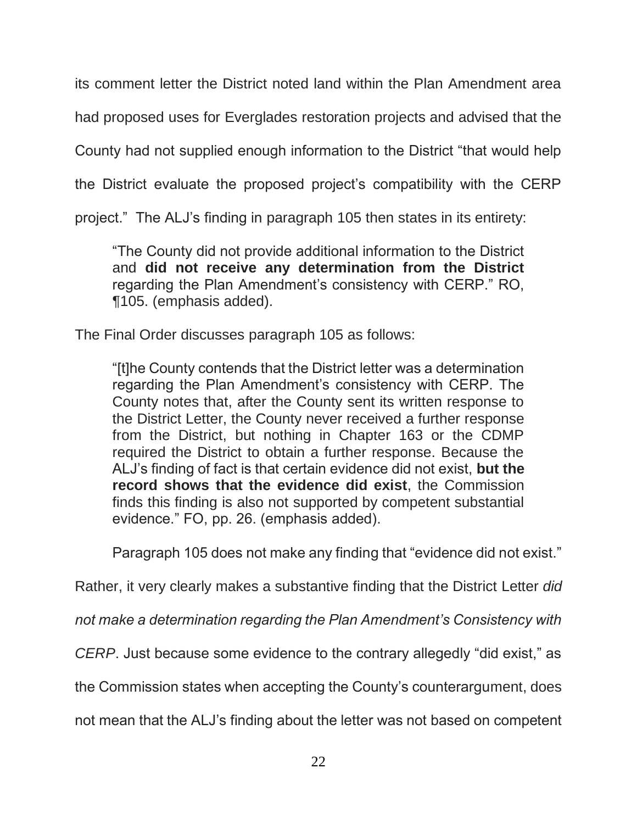its comment letter the District noted land within the Plan Amendment area

had proposed uses for Everglades restoration projects and advised that the

County had not supplied enough information to the District "that would help

the District evaluate the proposed project's compatibility with the CERP

project." The ALJ's finding in paragraph 105 then states in its entirety:

"The County did not provide additional information to the District and **did not receive any determination from the District** regarding the Plan Amendment's consistency with CERP." RO, ¶105. (emphasis added).

The Final Order discusses paragraph 105 as follows:

"[t]he County contends that the District letter was a determination regarding the Plan Amendment's consistency with CERP. The County notes that, after the County sent its written response to the District Letter, the County never received a further response from the District, but nothing in Chapter 163 or the CDMP required the District to obtain a further response. Because the ALJ's finding of fact is that certain evidence did not exist, **but the record shows that the evidence did exist**, the Commission finds this finding is also not supported by competent substantial evidence." FO, pp. 26. (emphasis added).

Paragraph 105 does not make any finding that "evidence did not exist."

Rather, it very clearly makes a substantive finding that the District Letter *did* 

*not make a determination regarding the Plan Amendment's Consistency with* 

*CERP*. Just because some evidence to the contrary allegedly "did exist," as

the Commission states when accepting the County's counterargument, does

not mean that the ALJ's finding about the letter was not based on competent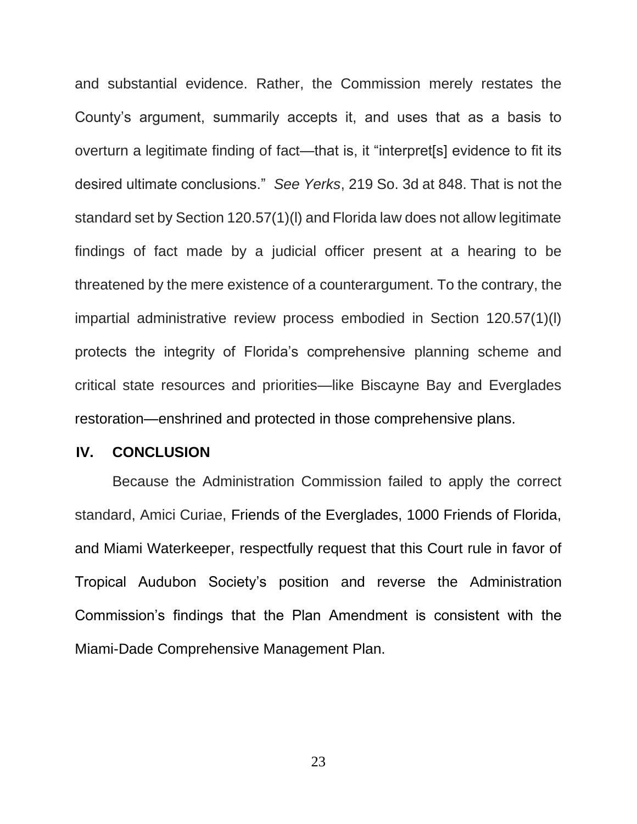and substantial evidence. Rather, the Commission merely restates the County's argument, summarily accepts it, and uses that as a basis to overturn a legitimate finding of fact—that is, it "interpret[s] evidence to fit its desired ultimate conclusions." *See Yerks*, 219 So. 3d at 848. That is not the standard set by Section 120.57(1)(l) and Florida law does not allow legitimate findings of fact made by a judicial officer present at a hearing to be threatened by the mere existence of a counterargument. To the contrary, the impartial administrative review process embodied in Section 120.57(1)(l) protects the integrity of Florida's comprehensive planning scheme and critical state resources and priorities—like Biscayne Bay and Everglades restoration—enshrined and protected in those comprehensive plans.

#### <span id="page-26-0"></span>**IV. CONCLUSION**

Because the Administration Commission failed to apply the correct standard, Amici Curiae, Friends of the Everglades, 1000 Friends of Florida, and Miami Waterkeeper, respectfully request that this Court rule in favor of Tropical Audubon Society's position and reverse the Administration Commission's findings that the Plan Amendment is consistent with the Miami-Dade Comprehensive Management Plan.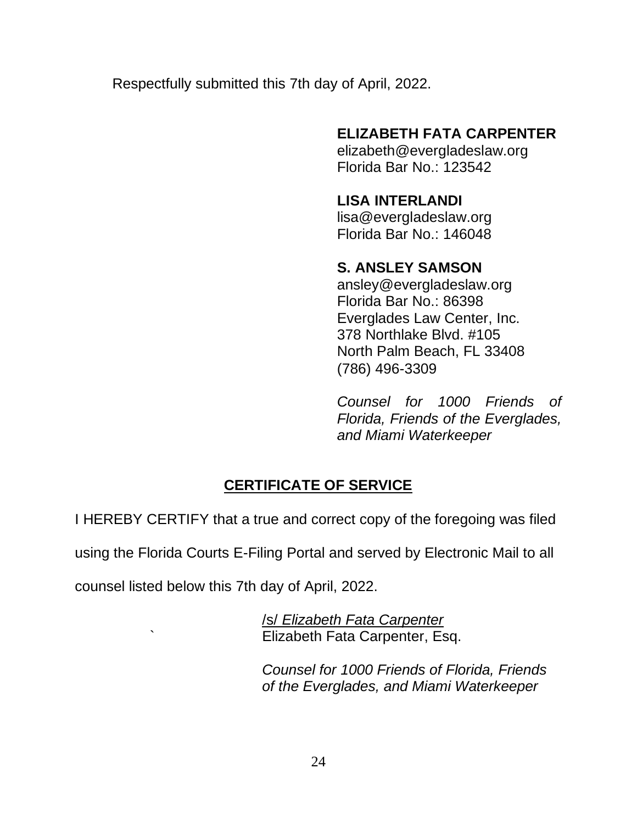Respectfully submitted this 7th day of April, 2022.

## **ELIZABETH FATA CARPENTER**

elizabeth@evergladeslaw.org Florida Bar No.: 123542

# **LISA INTERLANDI**

lisa@evergladeslaw.org Florida Bar No.: 146048

## **S. ANSLEY SAMSON**

ansley@evergladeslaw.org Florida Bar No.: 86398 Everglades Law Center, Inc. 378 Northlake Blvd. #105 North Palm Beach, FL 33408 (786) 496-3309

*Counsel for 1000 Friends of Florida, Friends of the Everglades, and Miami Waterkeeper*

# **CERTIFICATE OF SERVICE**

I HEREBY CERTIFY that a true and correct copy of the foregoing was filed

using the Florida Courts E-Filing Portal and served by Electronic Mail to all

counsel listed below this 7th day of April, 2022.

/s/ *Elizabeth Fata Carpenter* ` Elizabeth Fata Carpenter, Esq.

> *Counsel for 1000 Friends of Florida, Friends of the Everglades, and Miami Waterkeeper*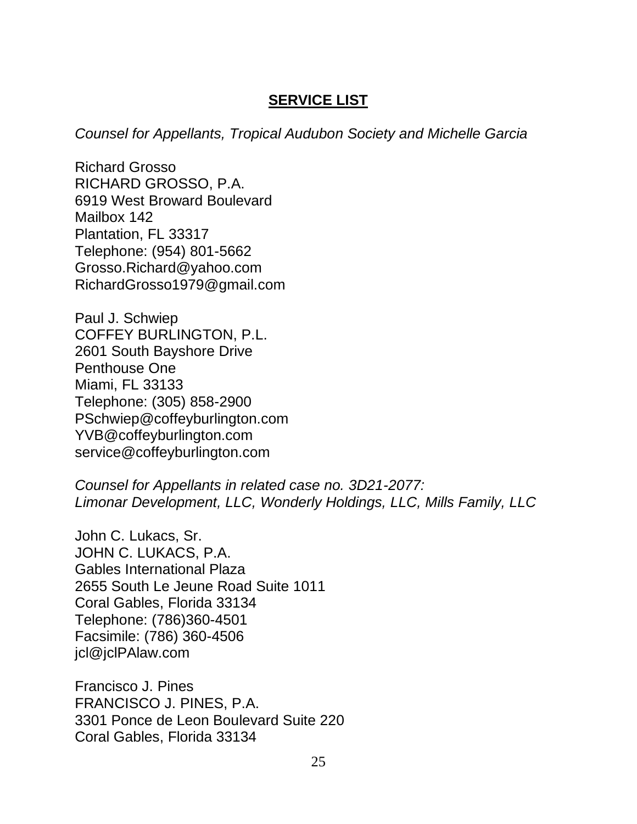#### **SERVICE LIST**

*Counsel for Appellants, Tropical Audubon Society and Michelle Garcia*

Richard Grosso RICHARD GROSSO, P.A. 6919 West Broward Boulevard Mailbox 142 Plantation, FL 33317 Telephone: (954) 801-5662 [Grosso.Richard@yahoo.com](mailto:Grosso.Richard@yahoo.com) RichardGrosso1979@gmail.com

Paul J. Schwiep COFFEY BURLINGTON, P.L. 2601 South Bayshore Drive Penthouse One Miami, FL 33133 Telephone: (305) 858-2900 [PSchwiep@coffeyburlington.com](mailto:PSchwiep@coffeyburlington.com) [YVB@coffeyburlington.com](mailto:YVB@coffeyburlington.com) service@coffeyburlington.com

*Counsel for Appellants in related case no. 3D21-2077: Limonar Development, LLC, Wonderly Holdings, LLC, Mills Family, LLC* 

John C. Lukacs, Sr. JOHN C. LUKACS, P.A. Gables International Plaza 2655 South Le Jeune Road Suite 1011 Coral Gables, Florida 33134 Telephone: (786)360-4501 Facsimile: (786) 360-4506 jcl@jclPAlaw.com

Francisco J. Pines FRANCISCO J. PINES, P.A. 3301 Ponce de Leon Boulevard Suite 220 Coral Gables, Florida 33134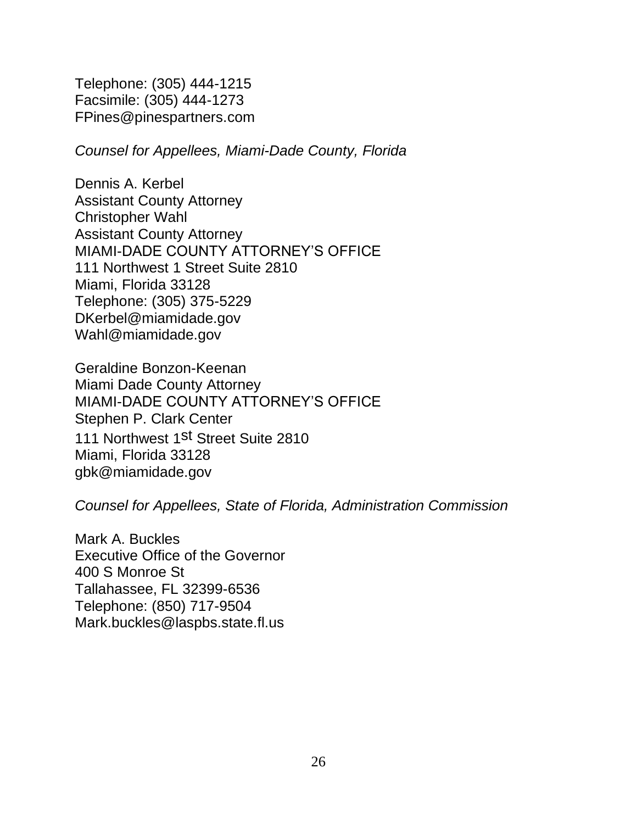Telephone: (305) 444-1215 Facsimile: (305) 444-1273 FPines@pinespartners.com

*Counsel for Appellees, Miami-Dade County, Florida*

Dennis A. Kerbel Assistant County Attorney Christopher Wahl Assistant County Attorney MIAMI-DADE COUNTY ATTORNEY'S OFFICE 111 Northwest 1 Street Suite 2810 Miami, Florida 33128 Telephone: (305) 375-5229 DKerbel@miamidade.gov Wahl@miamidade.gov

Geraldine Bonzon-Keenan Miami Dade County Attorney MIAMI-DADE COUNTY ATTORNEY'S OFFICE Stephen P. Clark Center 111 Northwest 1<sup>st</sup> Street Suite 2810 Miami, Florida 33128 gbk@miamidade.gov

*Counsel for Appellees, State of Florida, Administration Commission*

Mark A. Buckles Executive Office of the Governor 400 S Monroe St Tallahassee, FL 32399-6536 Telephone: (850) 717-9504 Mark.buckles@laspbs.state.fl.us